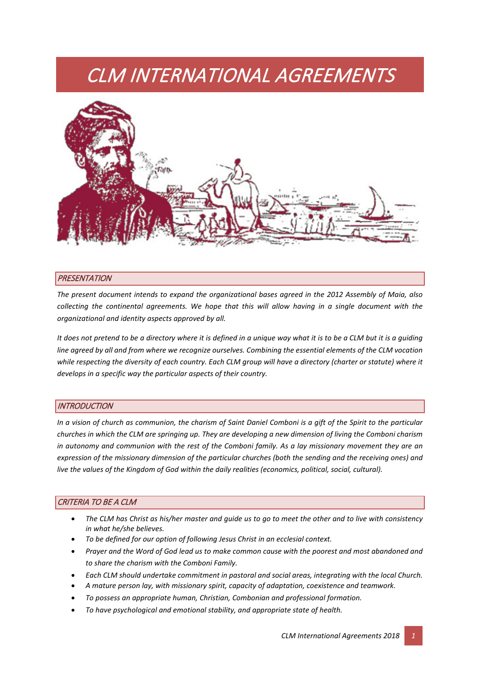# CLM INTERNATIONAL AGREEMENTS



#### **PRESENTATION**

*The present document intends to expand the organizational bases agreed in the 2012 Assembly of Maia, also collecting the continental agreements. We hope that this will allow having in a single document with the organizational and identity aspects approved by all.*

*It does not pretend to be a directory where it is defined in a unique way what it is to be a CLM but it is a guiding line agreed by all and from where we recognize ourselves. Combining the essential elements of the CLM vocation*  while respecting the diversity of each country. Each CLM group will have a directory (charter or statute) where it *develops in a specific way the particular aspects of their country.*

#### **INTRODUCTION**

*In a vision of church as communion, the charism of Saint Daniel Comboni is a gift of the Spirit to the particular churches in which the CLM are springing up. They are developing a new dimension of living the Comboni charism in autonomy and communion with the rest of the Comboni family. As a lay missionary movement they are an expression of the missionary dimension of the particular churches (both the sending and the receiving ones) and live the values of the Kingdom of God within the daily realities (economics, political, social, cultural).*

# CRITERIA TO BE A CLM

- *The CLM has Christ as his/her master and guide us to go to meet the other and to live with consistency in what he/she believes.*
- *To be defined for our option of following Jesus Christ in an ecclesial context.*
- *Prayer and the Word of God lead us to make common cause with the poorest and most abandoned and to share the charism with the Comboni Family.*
- *Each CLM should undertake commitment in pastoral and social areas, integrating with the local Church.*
- *A mature person lay, with missionary spirit, capacity of adaptation, coexistence and teamwork.*
- *To possess an appropriate human, Christian, Combonian and professional formation.*
- *To have psychological and emotional stability, and appropriate state of health.*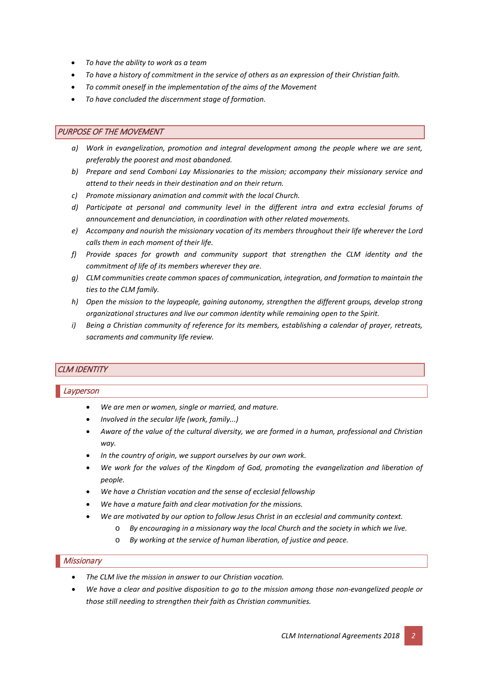- *To have the ability to work as a team*
- *To have a history of commitment in the service of others as an expression of their Christian faith.*
- *To commit oneself in the implementation of the aims of the Movement*
- *To have concluded the discernment stage of formation.*

#### PURPOSE OF THE MOVEMENT

- *a) Work in evangelization, promotion and integral development among the people where we are sent, preferably the poorest and most abandoned.*
- *b) Prepare and send Comboni Lay Missionaries to the mission; accompany their missionary service and attend to their needs in their destination and on their return.*
- *c) Promote missionary animation and commit with the local Church.*
- *d) Participate at personal and community level in the different intra and extra ecclesial forums of announcement and denunciation, in coordination with other related movements.*
- *e) Accompany and nourish the missionary vocation of its members throughout their life wherever the Lord calls them in each moment of their life.*
- *f) Provide spaces for growth and community support that strengthen the CLM identity and the commitment of life of its members wherever they are.*
- *g) CLM communities create common spaces of communication, integration, and formation to maintain the ties to the CLM family.*
- *h) Open the mission to the laypeople, gaining autonomy, strengthen the different groups, develop strong organizational structures and live our common identity while remaining open to the Spirit.*
- *i) Being a Christian community of reference for its members, establishing a calendar of prayer, retreats, sacraments and community life review.*

# CLM IDENTITY

# Layperson

- *We are men or women, single or married, and mature.*
- *Involved in the secular life (work, family...)*
- *Aware of the value of the cultural diversity, we are formed in a human, professional and Christian way.*
- *In the country of origin, we support ourselves by our own work.*
- *We work for the values of the Kingdom of God, promoting the evangelization and liberation of people.*
- *We have a Christian vocation and the sense of ecclesial fellowship*
- *We have a mature faith and clear motivation for the missions.*
- *We are motivated by our option to follow Jesus Christ in an ecclesial and community context.*
	- o *By encouraging in a missionary way the local Church and the society in which we live.*
	- o *By working at the service of human liberation, of justice and peace.*

#### **Missionary**

- *The CLM live the mission in answer to our Christian vocation.*
- *We have a clear and positive disposition to go to the mission among those non-evangelized people or those still needing to strengthen their faith as Christian communities.*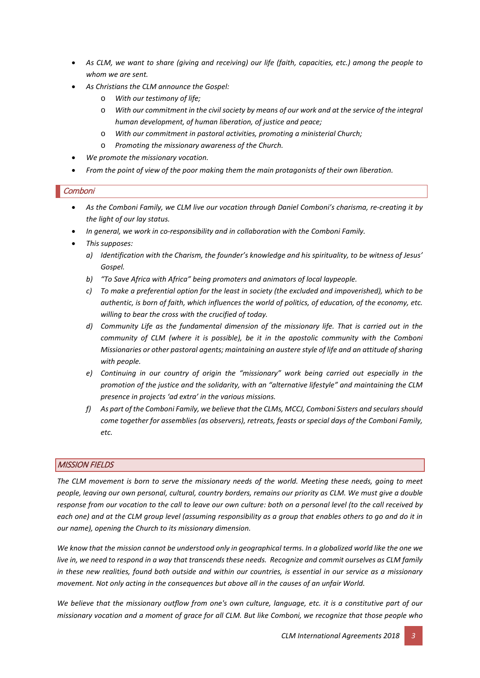- *As CLM, we want to share (giving and receiving) our life (faith, capacities, etc.) among the people to whom we are sent.*
- *As Christians the CLM announce the Gospel:*
	- o *With our testimony of life;*
	- o *With our commitment in the civil society by means of our work and at the service of the integral human development, of human liberation, of justice and peace;*
	- o *With our commitment in pastoral activities, promoting a ministerial Church;*
	- o *Promoting the missionary awareness of the Church.*
- *We promote the missionary vocation.*
- *From the point of view of the poor making them the main protagonists of their own liberation.*

#### **Comboni**

- *As the Comboni Family, we CLM live our vocation through Daniel Comboni's charisma, re-creating it by the light of our lay status.*
- *In general, we work in co-responsibility and in collaboration with the Comboni Family.*
- *This supposes:*
	- *a) Identification with the Charism, the founder's knowledge and his spirituality, to be witness of Jesus' Gospel.*
	- *b) "To Save Africa with Africa" being promoters and animators of local laypeople.*
	- *c) To make a preferential option for the least in society (the excluded and impoverished), which to be authentic, is born of faith, which influences the world of politics, of education, of the economy, etc. willing to bear the cross with the crucified of today.*
	- *d) Community Life as the fundamental dimension of the missionary life. That is carried out in the community of CLM (where it is possible), be it in the apostolic community with the Comboni Missionaries or other pastoral agents; maintaining an austere style of life and an attitude of sharing with people.*
	- *e) Continuing in our country of origin the "missionary" work being carried out especially in the promotion of the justice and the solidarity, with an "alternative lifestyle" and maintaining the CLM presence in projects 'ad extra' in the various missions.*
	- *f) As part of the Comboni Family, we believe that the CLMs, MCCJ, Comboni Sisters and seculars should come together for assemblies (as observers), retreats, feasts or special days of the Comboni Family, etc.*

# MISSION FIELDS

*The CLM movement is born to serve the missionary needs of the world. Meeting these needs, going to meet people, leaving our own personal, cultural, country borders, remains our priority as CLM. We must give a double response from our vocation to the call to leave our own culture: both on a personal level (to the call received by each one) and at the CLM group level (assuming responsibility as a group that enables others to go and do it in our name), opening the Church to its missionary dimension.*

*We know that the mission cannot be understood only in geographical terms. In a globalized world like the one we live in, we need to respond in a way that transcends these needs. Recognize and commit ourselves as CLM family in these new realities, found both outside and within our countries, is essential in our service as a missionary movement. Not only acting in the consequences but above all in the causes of an unfair World.*

*We believe that the missionary outflow from one's own culture, language, etc. it is a constitutive part of our missionary vocation and a moment of grace for all CLM. But like Comboni, we recognize that those people who*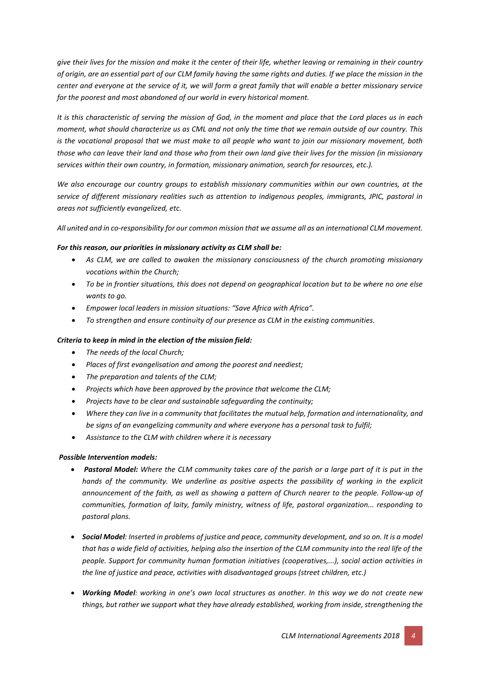*give their lives for the mission and make it the center of their life, whether leaving or remaining in their country of origin, are an essential part of our CLM family having the same rights and duties. If we place the mission in the center and everyone at the service of it, we will form a great family that will enable a better missionary service for the poorest and most abandoned of our world in every historical moment.*

*It is this characteristic of serving the mission of God, in the moment and place that the Lord places us in each moment, what should characterize us as CML and not only the time that we remain outside of our country. This is the vocational proposal that we must make to all people who want to join our missionary movement, both those who can leave their land and those who from their own land give their lives for the mission (in missionary services within their own country, in formation, missionary animation, search for resources, etc.).*

*We also encourage our country groups to establish missionary communities within our own countries, at the service of different missionary realities such as attention to indigenous peoples, immigrants, JPIC, pastoral in areas not sufficiently evangelized, etc.*

*All united and in co-responsibility for our common mission that we assume all as an international CLM movement.*

#### *For this reason, our priorities in missionary activity as CLM shall be:*

- As CLM, we are called to awaken the missionary consciousness of the church promoting missionary *vocations within the Church;*
- *To be in frontier situations, this does not depend on geographical location but to be where no one else wants to go.*
- *Empower local leaders in mission situations: "Save Africa with Africa".*
- *To strengthen and ensure continuity of our presence as CLM in the existing communities.*

# *Criteria to keep in mind in the election of the mission field:*

- *The needs of the local Church;*
- *Places of first evangelisation and among the poorest and neediest;*
- *The preparation and talents of the CLM;*
- *Projects which have been approved by the province that welcome the CLM;*
- *Projects have to be clear and sustainable safeguarding the continuity;*
- *Where they can live in a community that facilitates the mutual help, formation and internationality, and be signs of an evangelizing community and where everyone has a personal task to fulfil;*
- *Assistance to the CLM with children where it is necessary*

# *Possible Intervention models:*

- **Pastoral Model:** Where the CLM community takes care of the parish or a large part of it is put in the *hands of the community. We underline as positive aspects the possibility of working in the explicit announcement of the faith, as well as showing a pattern of Church nearer to the people. Follow-up of communities, formation of laity, family ministry, witness of life, pastoral organization... responding to pastoral plans.*
- *Social Model: Inserted in problems of justice and peace, community development, and so on. It is a model that has a wide field of activities, helping also the insertion of the CLM community into the real life of the people. Support for community human formation initiatives (cooperatives,...), social action activities in the line of justice and peace, activities with disadvantaged groups (street children, etc.)*
- *Working Model: working in one's own local structures as another. In this way we do not create new things, but rather we support what they have already established, working from inside, strengthening the*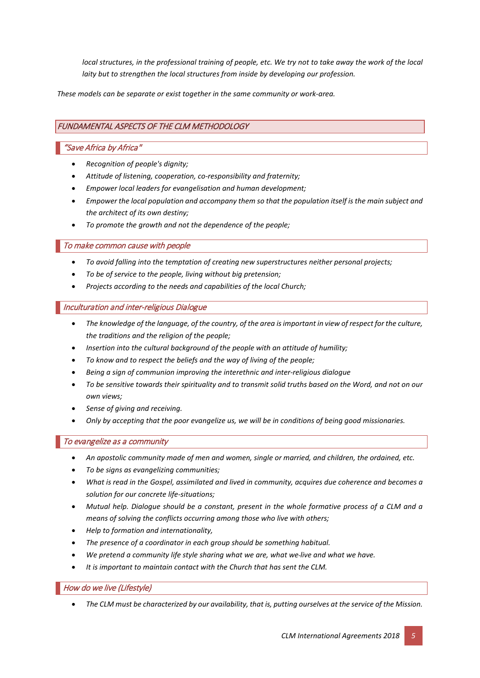*local structures, in the professional training of people, etc. We try not to take away the work of the local laity but to strengthen the local structures from inside by developing our profession.*

*These models can be separate or exist together in the same community or work-area.*

# FUNDAMENTAL ASPECTS OF THE CLM METHODOLOGY

#### "Save Africa by Africa"

- *Recognition of people's dignity;*
- *Attitude of listening, cooperation, co-responsibility and fraternity;*
- *Empower local leaders for evangelisation and human development;*
- *Empower the local population and accompany them so that the population itself is the main subject and the architect of its own destiny;*
- *To promote the growth and not the dependence of the people;*

#### To make common cause with people

- *To avoid falling into the temptation of creating new superstructures neither personal projects;*
- *To be of service to the people, living without big pretension;*
- *Projects according to the needs and capabilities of the local Church;*

#### Inculturation and inter-religious Dialogue

- *The knowledge of the language, of the country, of the area is important in view of respect for the culture, the traditions and the religion of the people;*
- *Insertion into the cultural background of the people with an attitude of humility;*
- *To know and to respect the beliefs and the way of living of the people;*
- *Being a sign of communion improving the interethnic and inter-religious dialogue*
- *To be sensitive towards their spirituality and to transmit solid truths based on the Word, and not on our own views;*
- *Sense of giving and receiving.*
- *Only by accepting that the poor evangelize us, we will be in conditions of being good missionaries.*

# To evangelize as a community

- *An apostolic community made of men and women, single or married, and children, the ordained, etc.*
- *To be signs as evangelizing communities;*
- *What is read in the Gospel, assimilated and lived in community, acquires due coherence and becomes a solution for our concrete life-situations;*
- *Mutual help. Dialogue should be a constant, present in the whole formative process of a CLM and a means of solving the conflicts occurring among those who live with others;*
- *Help to formation and internationality,*
- *The presence of a coordinator in each group should be something habitual.*
- *We pretend a community life style sharing what we are, what we live and what we have.*
- *It is important to maintain contact with the Church that has sent the CLM.*

# How do we live (Lifestyle)

• *The CLM must be characterized by our availability, that is, putting ourselves at the service of the Mission.*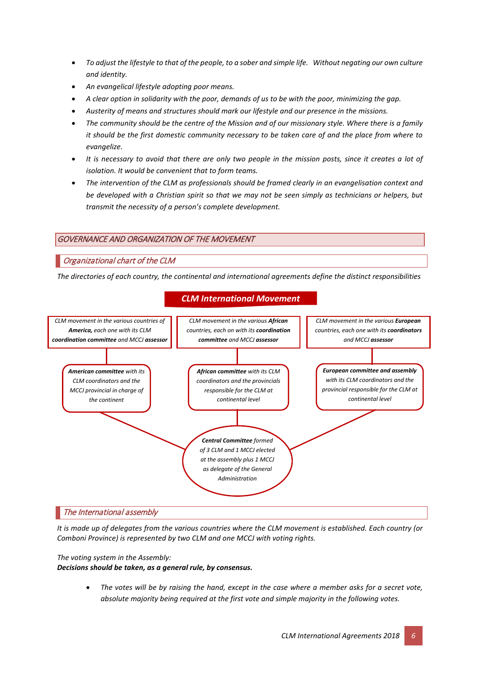- *To adjust the lifestyle to that of the people, to a sober and simple life. Without negating our own culture and identity.*
- *An evangelical lifestyle adopting poor means.*
- *A clear option in solidarity with the poor, demands of us to be with the poor, minimizing the gap.*
- *Austerity of means and structures should mark our lifestyle and our presence in the missions.*
- *The community should be the centre of the Mission and of our missionary style. Where there is a family it should be the first domestic community necessary to be taken care of and the place from where to evangelize.*
- *It is necessary to avoid that there are only two people in the mission posts, since it creates a lot of isolation. It would be convenient that to form teams.*
- *The intervention of the CLM as professionals should be framed clearly in an evangelisation context and be developed with a Christian spirit so that we may not be seen simply as technicians or helpers, but transmit the necessity of a person's complete development.*

# GOVERNANCE AND ORGANIZATION OF THE MOVEMENT

# Organizational chart of the CLM

*The directories of each country, the continental and international agreements define the distinct responsibilities*



# *CLM International Movement*

*It is made up of delegates from the various countries where the CLM movement is established. Each country (or Comboni Province) is represented by two CLM and one MCCJ with voting rights.*

*The voting system in the Assembly:*

*Decisions should be taken, as a general rule, by consensus.*

• *The votes will be by raising the hand, except in the case where a member asks for a secret vote, absolute majority being required at the first vote and simple majority in the following votes.*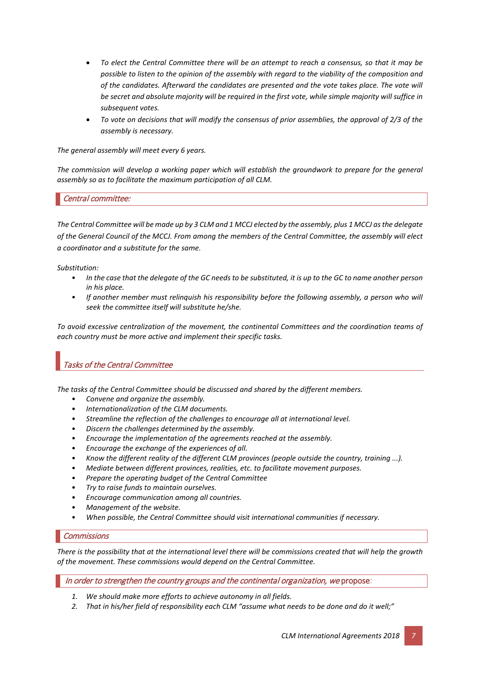- *To elect the Central Committee there will be an attempt to reach a consensus, so that it may be possible to listen to the opinion of the assembly with regard to the viability of the composition and of the candidates. Afterward the candidates are presented and the vote takes place. The vote will be secret and absolute majority will be required in the first vote, while simple majority will suffice in subsequent votes.*
- *To vote on decisions that will modify the consensus of prior assemblies, the approval of 2/3 of the assembly is necessary.*

*The general assembly will meet every 6 years.*

*The commission will develop a working paper which will establish the groundwork to prepare for the general assembly so as to facilitate the maximum participation of all CLM.*

#### Central committee:

*The Central Committee will be made up by 3 CLM and 1 MCCJ elected by the assembly, plus 1 MCCJ as the delegate of the General Council of the MCCJ. From among the members of the Central Committee, the assembly will elect a coordinator and a substitute for the same.*

*Substitution:*

- *In the case that the delegate of the GC needs to be substituted, it is up to the GC to name another person in his place.*
- *If another member must relinquish his responsibility before the following assembly, a person who will seek the committee itself will substitute he/she.*

*To avoid excessive centralization of the movement, the continental Committees and the coordination teams of each country must be more active and implement their specific tasks.*

# Tasks of the Central Committee

*The tasks of the Central Committee should be discussed and shared by the different members.*

- *Convene and organize the assembly.*
- *Internationalization of the CLM documents.*
- *Streamline the reflection of the challenges to encourage all at international level.*
- *Discern the challenges determined by the assembly.*
- *Encourage the implementation of the agreements reached at the assembly.*
- *Encourage the exchange of the experiences of all.*
- *Know the different reality of the different CLM provinces (people outside the country, training ...).*
- *Mediate between different provinces, realities, etc. to facilitate movement purposes.*
- *Prepare the operating budget of the Central Committee*
- *Try to raise funds to maintain ourselves.*
- *Encourage communication among all countries.*
- *Management of the website.*
- *When possible, the Central Committee should visit international communities if necessary.*

#### **Commissions**

*There is the possibility that at the international level there will be commissions created that will help the growth of the movement. These commissions would depend on the Central Committee.*

In order to strengthen the country groups and the continental organization, we propose:

- *1. We should make more efforts to achieve autonomy in all fields.*
- *2. That in his/her field of responsibility each CLM "assume what needs to be done and do it well;"*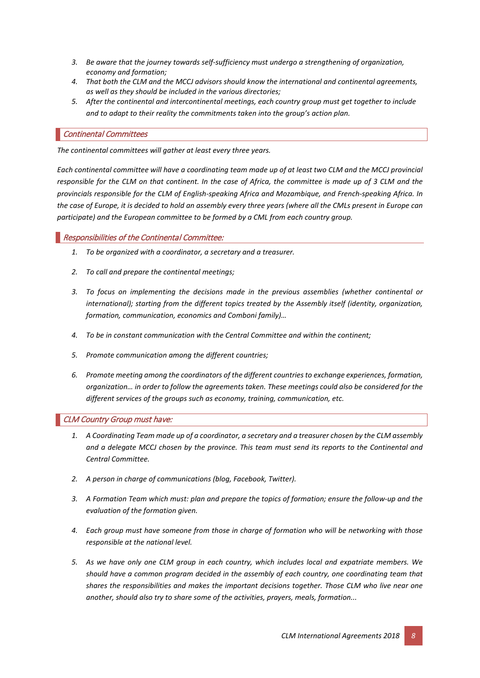- *3. Be aware that the journey towards self-sufficiency must undergo a strengthening of organization, economy and formation;*
- *4. That both the CLM and the MCCJ advisors should know the international and continental agreements, as well as they should be included in the various directories;*
- *5. After the continental and intercontinental meetings, each country group must get together to include and to adapt to their reality the commitments taken into the group's action plan.*

#### Continental Committees

*The continental committees will gather at least every three years.* 

*Each continental committee will have a coordinating team made up of at least two CLM and the MCCJ provincial responsible for the CLM on that continent. In the case of Africa, the committee is made up of 3 CLM and the provincials responsible for the CLM of English-speaking Africa and Mozambique, and French-speaking Africa. In the case of Europe, it is decided to hold an assembly every three years (where all the CMLs present in Europe can participate) and the European committee to be formed by a CML from each country group.*

#### Responsibilities of the Continental Committee:

- *1. To be organized with a coordinator, a secretary and a treasurer.*
- *2. To call and prepare the continental meetings;*
- *3. To focus on implementing the decisions made in the previous assemblies (whether continental or international); starting from the different topics treated by the Assembly itself (identity, organization, formation, communication, economics and Comboni family)…*
- *4. To be in constant communication with the Central Committee and within the continent;*
- *5. Promote communication among the different countries;*
- *6. Promote meeting among the coordinators of the different countries to exchange experiences, formation, organization… in order to follow the agreements taken. These meetings could also be considered for the different services of the groups such as economy, training, communication, etc.*

#### CLM Country Group must have:

- *1. A Coordinating Team made up of a coordinator, a secretary and a treasurer chosen by the CLM assembly and a delegate MCCJ chosen by the province. This team must send its reports to the Continental and Central Committee.*
- *2. A person in charge of communications (blog, Facebook, Twitter).*
- *3. A Formation Team which must: plan and prepare the topics of formation; ensure the follow-up and the evaluation of the formation given.*
- *4. Each group must have someone from those in charge of formation who will be networking with those responsible at the national level.*
- *5. As we have only one CLM group in each country, which includes local and expatriate members. We should have a common program decided in the assembly of each country, one coordinating team that shares the responsibilities and makes the important decisions together. Those CLM who live near one another, should also try to share some of the activities, prayers, meals, formation...*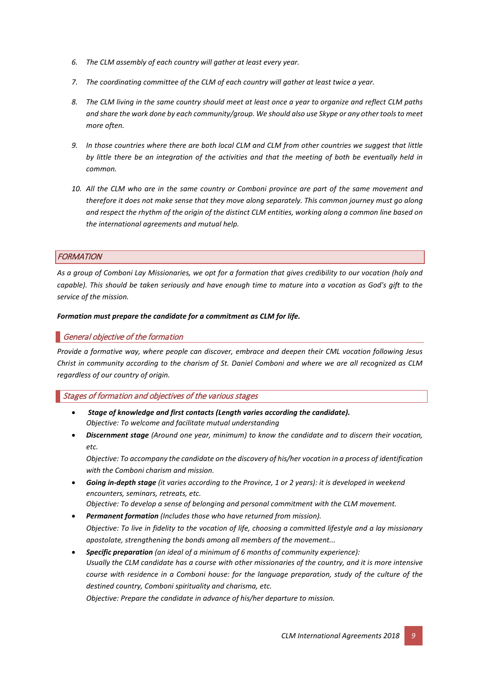- *6. The CLM assembly of each country will gather at least every year.*
- *7. The coordinating committee of the CLM of each country will gather at least twice a year.*
- *8. The CLM living in the same country should meet at least once a year to organize and reflect CLM paths and share the work done by each community/group. We should also use Skype or any other tools to meet more often.*
- *9. In those countries where there are both local CLM and CLM from other countries we suggest that little by little there be an integration of the activities and that the meeting of both be eventually held in common.*
- *10. All the CLM who are in the same country or Comboni province are part of the same movement and therefore it does not make sense that they move along separately. This common journey must go along and respect the rhythm of the origin of the distinct CLM entities, working along a common line based on the international agreements and mutual help.*

# **FORMATION**

*As a group of Comboni Lay Missionaries, we opt for a formation that gives credibility to our vocation (holy and capable). This should be taken seriously and have enough time to mature into a vocation as God's gift to the service of the mission.*

#### *Formation must prepare the candidate for a commitment as CLM for life.*

# General objective of the formation

*Provide a formative way, where people can discover, embrace and deepen their CML vocation following Jesus Christ in community according to the charism of St. Daniel Comboni and where we are all recognized as CLM regardless of our country of origin.*

#### Stages of formation and objectives of the various stages

- *Stage of knowledge and first contacts (Length varies according the candidate). Objective: To welcome and facilitate mutual understanding*
- *Discernment stage (Around one year, minimum) to know the candidate and to discern their vocation, etc.*

*Objective: To accompany the candidate on the discovery of his/her vocation in a process of identification with the Comboni charism and mission.*

• *Going in-depth stage (it varies according to the Province, 1 or 2 years): it is developed in weekend encounters, seminars, retreats, etc.* 

*Objective: To develop a sense of belonging and personal commitment with the CLM movement.*

- *Permanent formation (Includes those who have returned from mission). Objective: To live in fidelity to the vocation of life, choosing a committed lifestyle and a lay missionary apostolate, strengthening the bonds among all members of the movement...*
- *Specific preparation (an ideal of a minimum of 6 months of community experience): Usually the CLM candidate has a course with other missionaries of the country, and it is more intensive course with residence in a Comboni house: for the language preparation, study of the culture of the destined country, Comboni spirituality and charisma, etc.*

*Objective: Prepare the candidate in advance of his/her departure to mission.*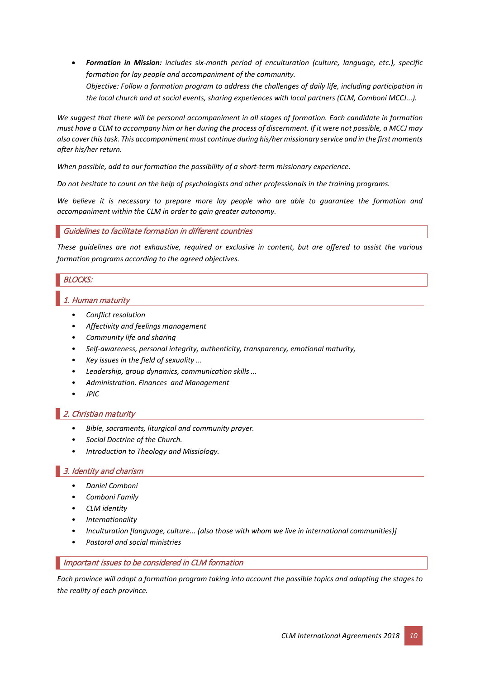• *Formation in Mission: includes six-month period of enculturation (culture, language, etc.), specific formation for lay people and accompaniment of the community. Objective: Follow a formation program to address the challenges of daily life, including participation in the local church and at social events, sharing experiences with local partners (CLM, Comboni MCCJ...).*

*We suggest that there will be personal accompaniment in all stages of formation. Each candidate in formation must have a CLM to accompany him or her during the process of discernment. If it were not possible, a MCCJ may also cover this task. This accompaniment must continue during his/her missionary service and in the first moments after his/her return.*

*When possible, add to our formation the possibility of a short-term missionary experience.*

*Do not hesitate to count on the help of psychologists and other professionals in the training programs.*

*We believe it is necessary to prepare more lay people who are able to guarantee the formation and accompaniment within the CLM in order to gain greater autonomy.*

#### Guidelines to facilitate formation in different countries

*These guidelines are not exhaustive, required or exclusive in content, but are offered to assist the various formation programs according to the agreed objectives.*

# BLOCKS:

# 1. Human maturity

- *Conflict resolution*
- *Affectivity and feelings management*
- *Community life and sharing*
- *Self-awareness, personal integrity, authenticity, transparency, emotional maturity,*
- *Key issues in the field of sexuality ...*
- *Leadership, group dynamics, communication skills ...*
- *Administration. Finances and Management*
- *JPIC*

# 2. Christian maturity

- *Bible, sacraments, liturgical and community prayer.*
- *Social Doctrine of the Church.*
- *Introduction to Theology and Missiology.*

# 3. Identity and charism

- *Daniel Comboni*
- *Comboni Family*
- *CLM identity*
- *Internationality*
- *Inculturation [language, culture... (also those with whom we live in international communities)]*
- *Pastoral and social ministries*

#### Important issues to be considered in CLM formation

*Each province will adopt a formation program taking into account the possible topics and adapting the stages to the reality of each province.*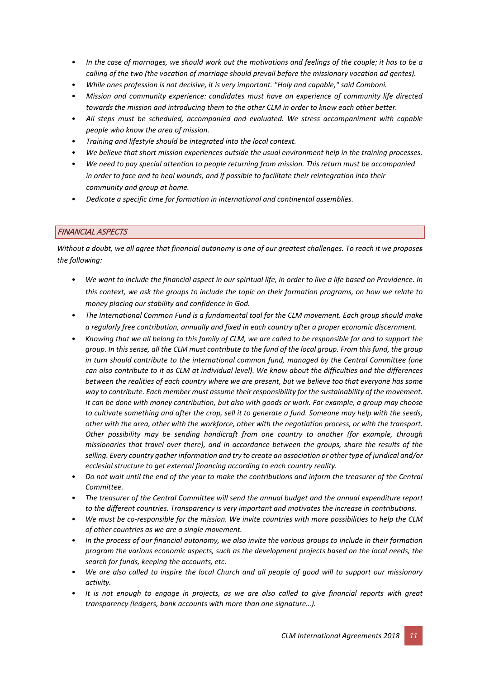- *In the case of marriages, we should work out the motivations and feelings of the couple; it has to be a calling of the two (the vocation of marriage should prevail before the missionary vocation ad gentes).*
- *While ones profession is not decisive, it is very important. "Holy and capable," said Comboni.*
- *Mission and community experience: candidates must have an experience of community life directed towards the mission and introducing them to the other CLM in order to know each other better.*
- *All steps must be scheduled, accompanied and evaluated. We stress accompaniment with capable people who know the area of mission.*
- *Training and lifestyle should be integrated into the local context.*
- *We believe that short mission experiences outside the usual environment help in the training processes.*
- *We need to pay special attention to people returning from mission. This return must be accompanied in order to face and to heal wounds, and if possible to facilitate their reintegration into their community and group at home.*
- *Dedicate a specific time for formation in international and continental assemblies.*

# FINANCIAL ASPECTS

*Without a doubt, we all agree that financial autonomy is one of our greatest challenges. To reach it we proposes the following:*

- *We want to include the financial aspect in our spiritual life, in order to live a life based on Providence. In this context, we ask the groups to include the topic on their formation programs, on how we relate to money placing our stability and confidence in God.*
- *The International Common Fund is a fundamental tool for the CLM movement. Each group should make a regularly free contribution, annually and fixed in each country after a proper economic discernment.*
- *Knowing that we all belong to this family of CLM, we are called to be responsible for and to support the group. In this sense, all the CLM must contribute to the fund of the local group. From this fund, the group in turn should contribute to the international common fund, managed by the Central Committee (one can also contribute to it as CLM at individual level). We know about the difficulties and the differences between the realities of each country where we are present, but we believe too that everyone has some way to contribute. Each member must assume their responsibility for the sustainability of the movement. It can be done with money contribution, but also with goods or work. For example, a group may choose to cultivate something and after the crop, sell it to generate a fund. Someone may help with the seeds, other with the area, other with the workforce, other with the negotiation process, or with the transport. Other possibility may be sending handicraft from one country to another (for example, through missionaries that travel over there), and in accordance between the groups, share the results of the selling. Every country gather information and try to create an association or other type of juridical and/or ecclesial structure to get external financing according to each country reality.*
- *Do not wait until the end of the year to make the contributions and inform the treasurer of the Central Committee.*
- *The treasurer of the Central Committee will send the annual budget and the annual expenditure report to the different countries. Transparency is very important and motivates the increase in contributions.*
- *We must be co-responsible for the mission. We invite countries with more possibilities to help the CLM of other countries as we are a single movement.*
- *In the process of our financial autonomy, we also invite the various groups to include in their formation program the various economic aspects, such as the development projects based on the local needs, the search for funds, keeping the accounts, etc.*
- *We are also called to inspire the local Church and all people of good will to support our missionary activity.*
- *It is not enough to engage in projects, as we are also called to give financial reports with great transparency (ledgers, bank accounts with more than one signature…).*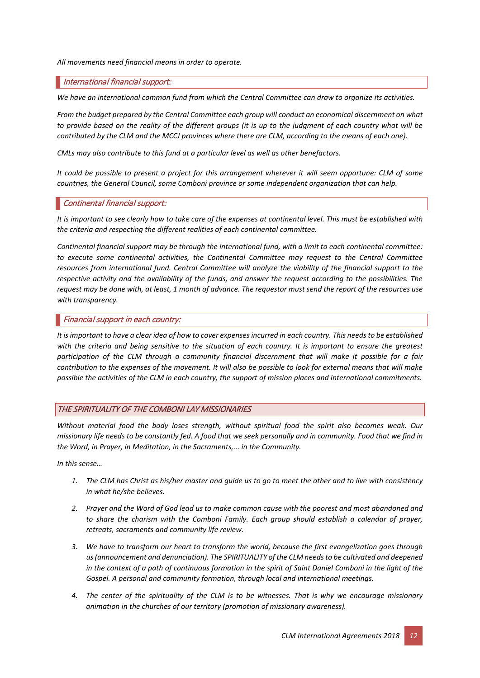*All movements need financial means in order to operate.*

#### International financial support:

*We have an international common fund from which the Central Committee can draw to organize its activities.*

*From the budget prepared by the Central Committee each group will conduct an economical discernment on what to provide based on the reality of the different groups (it is up to the judgment of each country what will be contributed by the CLM and the MCCJ provinces where there are CLM, according to the means of each one).*

*CMLs may also contribute to this fund at a particular level as well as other benefactors.*

*It could be possible to present a project for this arrangement wherever it will seem opportune: CLM of some countries, the General Council, some Comboni province or some independent organization that can help.*

#### Continental financial support:

*It is important to see clearly how to take care of the expenses at continental level. This must be established with the criteria and respecting the different realities of each continental committee.*

*Continental financial support may be through the international fund, with a limit to each continental committee: to execute some continental activities, the Continental Committee may request to the Central Committee resources from international fund. Central Committee will analyze the viability of the financial support to the respective activity and the availability of the funds, and answer the request according to the possibilities. The request may be done with, at least, 1 month of advance. The requestor must send the report of the resources use with transparency.*

#### Financial support in each country:

*It is important to have a clear idea of how to cover expenses incurred in each country. This needs to be established*  with the criteria and being sensitive to the situation of each country. It is important to ensure the greatest *participation of the CLM through a community financial discernment that will make it possible for a fair contribution to the expenses of the movement. It will also be possible to look for external means that will make possible the activities of the CLM in each country, the support of mission places and international commitments.*

#### THE SPIRITUALITY OF THE COMBONI LAY MISSIONARIES

*Without material food the body loses strength, without spiritual food the spirit also becomes weak. Our missionary life needs to be constantly fed. A food that we seek personally and in community. Food that we find in the Word, in Prayer, in Meditation, in the Sacraments,... in the Community.*

*In this sense…*

- *1. The CLM has Christ as his/her master and guide us to go to meet the other and to live with consistency in what he/she believes.*
- *2. Prayer and the Word of God lead us to make common cause with the poorest and most abandoned and to share the charism with the Comboni Family. Each group should establish a calendar of prayer, retreats, sacraments and community life review.*
- *3. We have to transform our heart to transform the world, because the first evangelization goes through us (announcement and denunciation). The SPIRITUALITY of the CLM needs to be cultivated and deepened in the context of a path of continuous formation in the spirit of Saint Daniel Comboni in the light of the Gospel. A personal and community formation, through local and international meetings.*
- *4. The center of the spirituality of the CLM is to be witnesses. That is why we encourage missionary animation in the churches of our territory (promotion of missionary awareness).*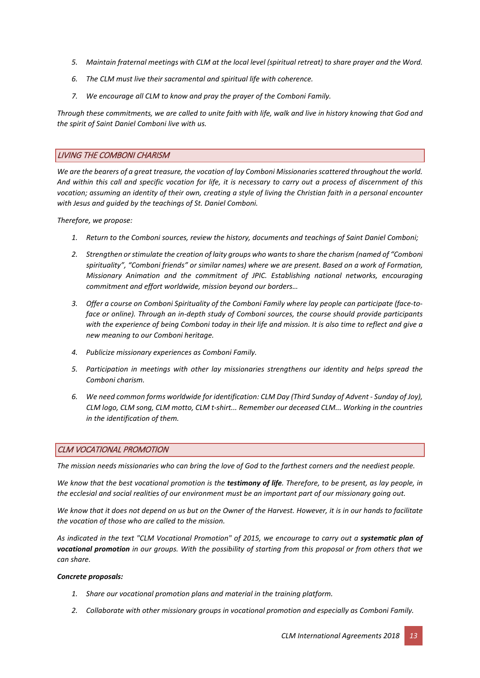- *5. Maintain fraternal meetings with CLM at the local level (spiritual retreat) to share prayer and the Word.*
- *6. The CLM must live their sacramental and spiritual life with coherence.*
- *7. We encourage all CLM to know and pray the prayer of the Comboni Family.*

*Through these commitments, we are called to unite faith with life, walk and live in history knowing that God and the spirit of Saint Daniel Comboni live with us.*

#### LIVING THE COMBONI CHARISM

*We are the bearers of a great treasure, the vocation of lay Comboni Missionaries scattered throughout the world. And within this call and specific vocation for life, it is necessary to carry out a process of discernment of this vocation; assuming an identity of their own, creating a style of living the Christian faith in a personal encounter with Jesus and guided by the teachings of St. Daniel Comboni.* 

*Therefore, we propose:*

- *1. Return to the Comboni sources, review the history, documents and teachings of Saint Daniel Comboni;*
- *2. Strengthen or stimulate the creation of laity groups who wants to share the charism (named of "Comboni spirituality", "Comboni friends" or similar names) where we are present. Based on a work of Formation, Missionary Animation and the commitment of JPIC. Establishing national networks, encouraging commitment and effort worldwide, mission beyond our borders…*
- *3. Offer a course on Comboni Spirituality of the Comboni Family where lay people can participate (face-toface or online). Through an in-depth study of Comboni sources, the course should provide participants with the experience of being Comboni today in their life and mission. It is also time to reflect and give a new meaning to our Comboni heritage.*
- *4. Publicize missionary experiences as Comboni Family.*
- *5. Participation in meetings with other lay missionaries strengthens our identity and helps spread the Comboni charism.*
- *6. We need common forms worldwide for identification: CLM Day (Third Sunday of Advent - Sunday of Joy), CLM logo, CLM song, CLM motto, CLM t-shirt... Remember our deceased CLM... Working in the countries in the identification of them.*

# CLM VOCATIONAL PROMOTION

*The mission needs missionaries who can bring the love of God to the farthest corners and the neediest people.*

*We know that the best vocational promotion is the testimony of life. Therefore, to be present, as lay people, in the ecclesial and social realities of our environment must be an important part of our missionary going out.*

*We know that it does not depend on us but on the Owner of the Harvest. However, it is in our hands to facilitate the vocation of those who are called to the mission.*

As indicated in the text "CLM Vocational Promotion" of 2015, we encourage to carry out a systematic plan of *vocational promotion in our groups. With the possibility of starting from this proposal or from others that we can share.*

#### *Concrete proposals:*

- *1. Share our vocational promotion plans and material in the training platform.*
- *2. Collaborate with other missionary groups in vocational promotion and especially as Comboni Family.*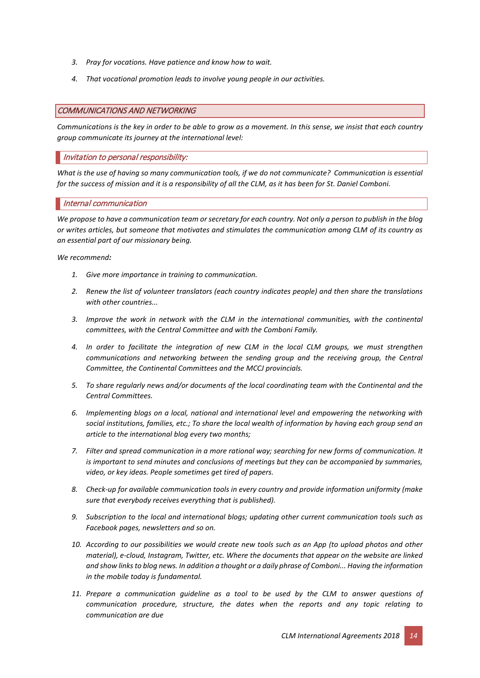- *3. Pray for vocations. Have patience and know how to wait.*
- *4. That vocational promotion leads to involve young people in our activities.*

#### COMMUNICATIONS AND NETWORKING

*Communications is the key in order to be able to grow as a movement. In this sense, we insist that each country group communicate its journey at the international level:*

#### Invitation to personal responsibility:

*What is the use of having so many communication tools, if we do not communicate? Communication is essential for the success of mission and it is a responsibility of all the CLM, as it has been for St. Daniel Comboni.*

#### Internal communication

*We propose to have a communication team or secretary for each country. Not only a person to publish in the blog or writes articles, but someone that motivates and stimulates the communication among CLM of its country as an essential part of our missionary being.*

*We recommend:*

- *1. Give more importance in training to communication.*
- *2. Renew the list of volunteer translators (each country indicates people) and then share the translations with other countries...*
- *3. Improve the work in network with the CLM in the international communities, with the continental committees, with the Central Committee and with the Comboni Family.*
- *4. In order to facilitate the integration of new CLM in the local CLM groups, we must strengthen communications and networking between the sending group and the receiving group, the Central Committee, the Continental Committees and the MCCJ provincials.*
- *5. To share regularly news and/or documents of the local coordinating team with the Continental and the Central Committees.*
- *6. Implementing blogs on a local, national and international level and empowering the networking with social institutions, families, etc.; To share the local wealth of information by having each group send an article to the international blog every two months;*
- *7. Filter and spread communication in a more rational way; searching for new forms of communication. It is important to send minutes and conclusions of meetings but they can be accompanied by summaries, video, or key ideas. People sometimes get tired of papers.*
- *8. Check-up for available communication tools in every country and provide information uniformity (make sure that everybody receives everything that is published).*
- *9. Subscription to the local and international blogs; updating other current communication tools such as Facebook pages, newsletters and so on.*
- *10. According to our possibilities we would create new tools such as an App (to upload photos and other material), e-cloud, Instagram, Twitter, etc. Where the documents that appear on the website are linked and show links to blog news. In addition a thought or a daily phrase of Comboni... Having the information in the mobile today is fundamental.*
- *11. Prepare a communication guideline as a tool to be used by the CLM to answer questions of communication procedure, structure, the dates when the reports and any topic relating to communication are due*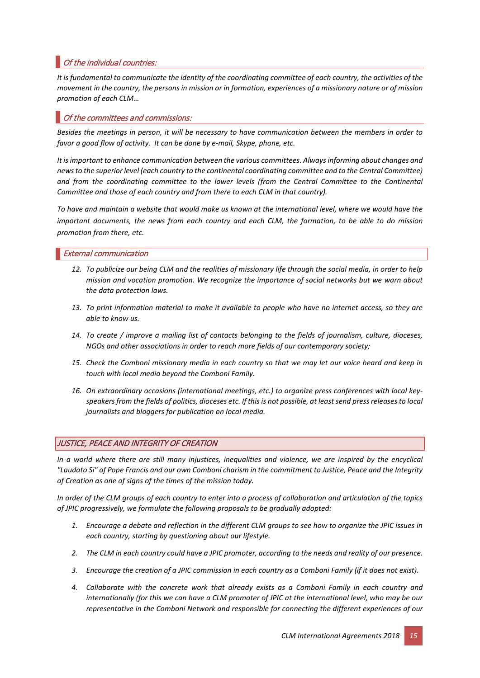# Of the individual countries:

*It is fundamental to communicate the identity of the coordinating committee of each country, the activities of the movement in the country, the persons in mission or in formation, experiences of a missionary nature or of mission promotion of each CLM…*

# Of the committees and commissions:

*Besides the meetings in person, it will be necessary to have communication between the members in order to favor a good flow of activity. It can be done by e-mail, Skype, phone, etc.*

*It is important to enhance communication between the various committees. Always informing about changes and news to the superior level (each country to the continental coordinating committee and to the Central Committee) and from the coordinating committee to the lower levels (from the Central Committee to the Continental Committee and those of each country and from there to each CLM in that country).*

*To have and maintain a website that would make us known at the international level, where we would have the important documents, the news from each country and each CLM, the formation, to be able to do mission promotion from there, etc.* 

#### External communication

- *12. To publicize our being CLM and the realities of missionary life through the social media, in order to help mission and vocation promotion. We recognize the importance of social networks but we warn about the data protection laws.*
- *13. To print information material to make it available to people who have no internet access, so they are able to know us.*
- *14. To create / improve a mailing list of contacts belonging to the fields of journalism, culture, dioceses, NGOs and other associations in order to reach more fields of our contemporary society;*
- *15. Check the Comboni missionary media in each country so that we may let our voice heard and keep in touch with local media beyond the Comboni Family.*
- *16. On extraordinary occasions (international meetings, etc.) to organize press conferences with local keyspeakers from the fields of politics, dioceses etc. If this is not possible, at least send press releases to local journalists and bloggers for publication on local media.*

# JUSTICE, PEACE AND INTEGRITY OF CREATION

*In a world where there are still many injustices, inequalities and violence, we are inspired by the encyclical "Laudato Si" of Pope Francis and our own Comboni charism in the commitment to Justice, Peace and the Integrity of Creation as one of signs of the times of the mission today.*

*In order of the CLM groups of each country to enter into a process of collaboration and articulation of the topics of JPIC progressively, we formulate the following proposals to be gradually adopted:*

- *1. Encourage a debate and reflection in the different CLM groups to see how to organize the JPIC issues in each country, starting by questioning about our lifestyle.*
- *2. The CLM in each country could have a JPIC promoter, according to the needs and reality of our presence.*
- *3. Encourage the creation of a JPIC commission in each country as a Comboni Family (if it does not exist).*
- *4. Collaborate with the concrete work that already exists as a Comboni Family in each country and internationally (for this we can have a CLM promoter of JPIC at the international level, who may be our representative in the Comboni Network and responsible for connecting the different experiences of our*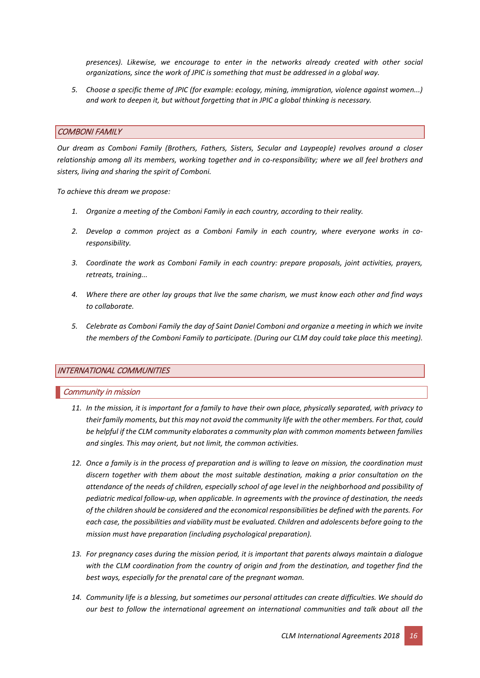*presences). Likewise, we encourage to enter in the networks already created with other social organizations, since the work of JPIC is something that must be addressed in a global way.*

*5. Choose a specific theme of JPIC (for example: ecology, mining, immigration, violence against women...) and work to deepen it, but without forgetting that in JPIC a global thinking is necessary.*

#### COMBONI FAMILY

*Our dream as Comboni Family (Brothers, Fathers, Sisters, Secular and Laypeople) revolves around a closer relationship among all its members, working together and in co-responsibility; where we all feel brothers and sisters, living and sharing the spirit of Comboni.*

*To achieve this dream we propose:*

- *1. Organize a meeting of the Comboni Family in each country, according to their reality.*
- *2. Develop a common project as a Comboni Family in each country, where everyone works in coresponsibility.*
- *3. Coordinate the work as Comboni Family in each country: prepare proposals, joint activities, prayers, retreats, training...*
- *4. Where there are other lay groups that live the same charism, we must know each other and find ways to collaborate.*
- *5. Celebrate as Comboni Family the day of Saint Daniel Comboni and organize a meeting in which we invite the members of the Comboni Family to participate. (During our CLM day could take place this meeting).*

# INTERNATIONAL COMMUNITIES

#### Community in mission

- *11. In the mission, it is important for a family to have their own place, physically separated, with privacy to their family moments, but this may not avoid the community life with the other members. For that, could be helpful if the CLM community elaborates a community plan with common moments between families and singles. This may orient, but not limit, the common activities.*
- *12. Once a family is in the process of preparation and is willing to leave on mission, the coordination must discern together with them about the most suitable destination, making a prior consultation on the attendance of the needs of children, especially school of age level in the neighborhood and possibility of pediatric medical follow-up, when applicable. In agreements with the province of destination, the needs of the children should be considered and the economical responsibilities be defined with the parents. For each case, the possibilities and viability must be evaluated. Children and adolescents before going to the mission must have preparation (including psychological preparation).*
- *13. For pregnancy cases during the mission period, it is important that parents always maintain a dialogue with the CLM coordination from the country of origin and from the destination, and together find the best ways, especially for the prenatal care of the pregnant woman.*
- *14. Community life is a blessing, but sometimes our personal attitudes can create difficulties. We should do our best to follow the international agreement on international communities and talk about all the*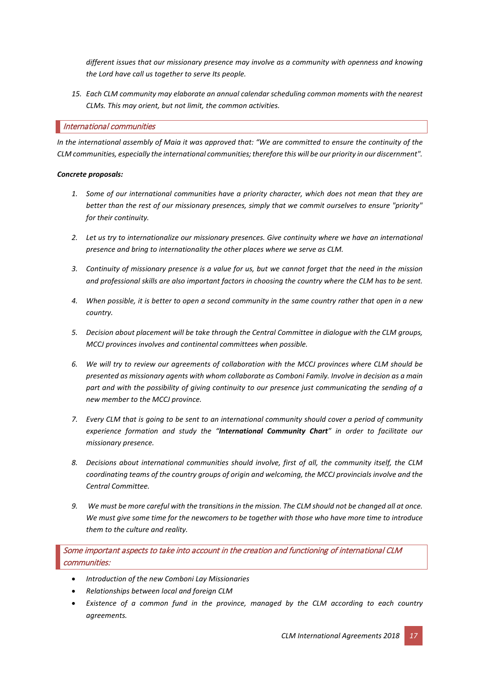*different issues that our missionary presence may involve as a community with openness and knowing the Lord have call us together to serve Its people.*

*15. Each CLM community may elaborate an annual calendar scheduling common moments with the nearest CLMs. This may orient, but not limit, the common activities.*

#### International communities

*In the international assembly of Maia it was approved that: "We are committed to ensure the continuity of the CLM communities, especially the international communities; therefore this will be our priority in our discernment".*

#### *Concrete proposals:*

- *1. Some of our international communities have a priority character, which does not mean that they are better than the rest of our missionary presences, simply that we commit ourselves to ensure "priority" for their continuity.*
- *2. Let us try to internationalize our missionary presences. Give continuity where we have an international presence and bring to internationality the other places where we serve as CLM.*
- *3. Continuity of missionary presence is a value for us, but we cannot forget that the need in the mission and professional skills are also important factors in choosing the country where the CLM has to be sent.*
- *4. When possible, it is better to open a second community in the same country rather that open in a new country.*
- *5. Decision about placement will be take through the Central Committee in dialogue with the CLM groups, MCCJ provinces involves and continental committees when possible.*
- *6. We will try to review our agreements of collaboration with the MCCJ provinces where CLM should be presented as missionary agents with whom collaborate as Comboni Family. Involve in decision as a main part and with the possibility of giving continuity to our presence just communicating the sending of a new member to the MCCJ province.*
- *7. Every CLM that is going to be sent to an international community should cover a period of community experience formation and study the "International Community Chart" in order to facilitate our missionary presence.*
- *8. Decisions about international communities should involve, first of all, the community itself, the CLM coordinating teams of the country groups of origin and welcoming, the MCCJ provincials involve and the Central Committee.*
- *9. We must be more careful with the transitions in the mission. The CLM should not be changed all at once. We must give some time for the newcomers to be together with those who have more time to introduce them to the culture and reality.*

Some important aspects to take into account in the creation and functioning of international CLM communities:

- *Introduction of the new Comboni Lay Missionaries*
- *Relationships between local and foreign CLM*
- *Existence of a common fund in the province, managed by the CLM according to each country agreements.*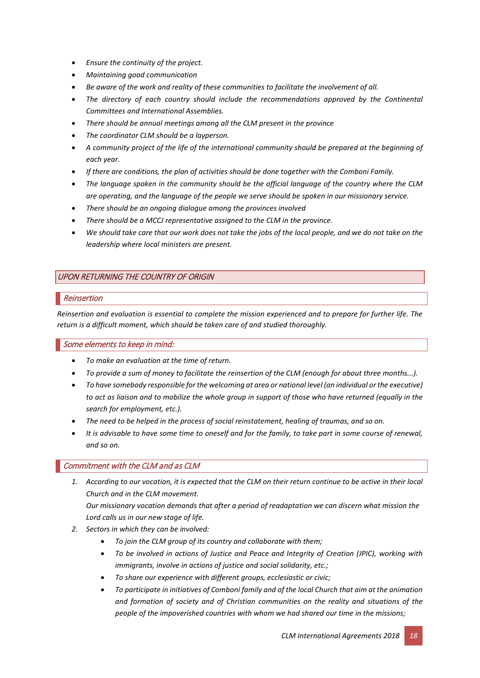- *Ensure the continuity of the project.*
- *Maintaining good communication*
- *Be aware of the work and reality of these communities to facilitate the involvement of all.*
- *The directory of each country should include the recommendations approved by the Continental Committees and International Assemblies.*
- *There should be annual meetings among all the CLM present in the province*
- *The coordinator CLM should be a layperson.*
- *A community project of the life of the international community should be prepared at the beginning of each year.*
- *If there are conditions, the plan of activities should be done together with the Comboni Family.*
- *The language spoken in the community should be the official language of the country where the CLM are operating, and the language of the people we serve should be spoken in our missionary service.*
- *There should be an ongoing dialogue among the provinces involved*
- *There should be a MCCJ representative assigned to the CLM in the province.*
- *We should take care that our work does not take the jobs of the local people, and we do not take on the leadership where local ministers are present.*

# UPON RETURNING THE COUNTRY OF ORIGIN

# Reinsertion

*Reinsertion and evaluation is essential to complete the mission experienced and to prepare for further life. The return is a difficult moment, which should be taken care of and studied thoroughly.* 

# Some elements to keep in mind:

- *To make an evaluation at the time of return.*
- *To provide a sum of money to facilitate the reinsertion of the CLM (enough for about three months...).*
- *To have somebody responsible for the welcoming at area or national level (an individual or the executive) to act as liaison and to mobilize the whole group in support of those who have returned (equally in the search for employment, etc.).*
- *The need to be helped in the process of social reinstatement, healing of traumas, and so on.*
- *It is advisable to have some time to oneself and for the family, to take part in some course of renewal, and so on.*

# Commitment with the CLM and as CLM

- *1. According to our vocation, it is expected that the CLM on their return continue to be active in their local Church and in the CLM movement. Our missionary vocation demands that after a period of readaptation we can discern what mission the*
- *Lord calls us in our new stage of life. 2. Sectors in which they can be involved:* 
	- *To join the CLM group of its country and collaborate with them;*
	- *To be involved in actions of Justice and Peace and Integrity of Creation (JPIC), working with immigrants, involve in actions of justice and social solidarity, etc.;*
	- *To share our experience with different groups, ecclesiastic or civic;*
	- *To participate in initiatives of Comboni family and of the local Church that aim at the animation and formation of society and of Christian communities on the reality and situations of the people of the impoverished countries with whom we had shared our time in the missions;*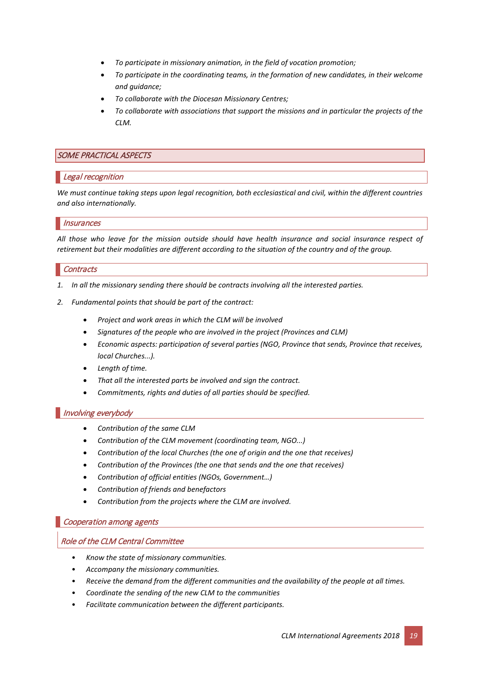- *To participate in missionary animation, in the field of vocation promotion;*
- *To participate in the coordinating teams, in the formation of new candidates, in their welcome and guidance;*
- *To collaborate with the Diocesan Missionary Centres;*
- *To collaborate with associations that support the missions and in particular the projects of the CLM.*

#### SOME PRACTICAL ASPECTS

#### Legal recognition

*We must continue taking steps upon legal recognition, both ecclesiastical and civil, within the different countries and also internationally.*

#### **Insurances**

*All those who leave for the mission outside should have health insurance and social insurance respect of retirement but their modalities are different according to the situation of the country and of the group.*

#### **Contracts**

- *1. In all the missionary sending there should be contracts involving all the interested parties.*
- *2. Fundamental points that should be part of the contract:*
	- *Project and work areas in which the CLM will be involved*
	- *Signatures of the people who are involved in the project (Provinces and CLM)*
	- *Economic aspects: participation of several parties (NGO, Province that sends, Province that receives, local Churches...).*
	- *Length of time.*
	- *That all the interested parts be involved and sign the contract.*
	- *Commitments, rights and duties of all parties should be specified.*

#### Involving everybody

- *Contribution of the same CLM*
- *Contribution of the CLM movement (coordinating team, NGO...)*
- *Contribution of the local Churches (the one of origin and the one that receives)*
- *Contribution of the Provinces (the one that sends and the one that receives)*
- *Contribution of official entities (NGOs, Government…)*
- *Contribution of friends and benefactors*
- *Contribution from the projects where the CLM are involved.*

#### Cooperation among agents

#### Role of the CLM Central Committee

- *Know the state of missionary communities.*
- *Accompany the missionary communities.*
- *Receive the demand from the different communities and the availability of the people at all times.*
- *Coordinate the sending of the new CLM to the communities*
- *Facilitate communication between the different participants.*